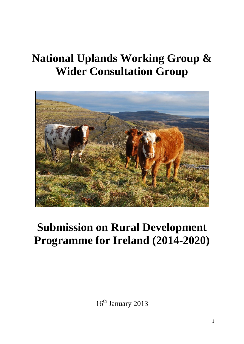# **National Uplands Working Group & Wider Consultation Group**



# **Submission on Rural Development Programme for Ireland (2014-2020)**

16<sup>th</sup> January 2013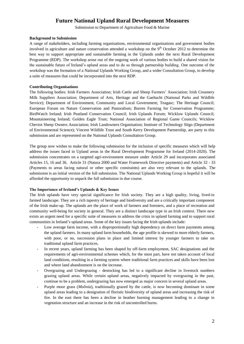# **Future National Upland Rural Development Measures**

Submission to Department of Agriculture Food & Marine

# **Background to Submission**

A range of stakeholders, including farming organisations, environmental organisations and government bodies involved in agriculture and nature conservation attended a workshop on the  $9<sup>th</sup>$  October 2012 to determine the best way to support appropriate and sustainable farming in the Uplands under the next Rural Development Programme (RDP). The workshop arose out of the ongoing work of various bodies to build a shared vision for the sustainable future of Ireland's upland areas and to do so through partnership building. One outcome of the workshop was the formation of a National Uplands Working Group, and a wider Consultation Group, to develop a suite of measures that could be incorporated into the next RDP.

#### **Contributing Organisations**

The following bodies: Irish Farmers Association; Irish Cattle and Sheep Farmers' Association; Irish Creamery Milk Suppliers Association; Department of Arts, Heritage and the Gaeltacht (National Parks and Wildlife Service); Department of Environment, Community and Local Government; Teagasc; The Heritage Council; European Forum on Nature Conservation and Pastoralism; Burren Farming for Conservation Programme; BirdWatch Ireland; Irish Peatland Conservation Council; Irish Uplands Forum; Wicklow Uplands Council; Mountaineering Ireland; Golden Eagle Trust; National Association of Regional Game Councils; Wicklow Cheviot Sheep Owners Association; Irish Landowners Organisation; Institute of Technology Sligo (Department of Environmental Science); Vincent Wildlife Trust and South Kerry Development Partnership, are party to this submission and are represented on the National Uplands Consultation Group.

The group now wishes to make the following submission for the inclusion of specific measures which will help address the issues faced in Upland areas in the Rural Development Programme for Ireland (2014-2020). The submission concentrates on a targeted agri-environment measure under Article 29 and incorporates associated Articles 15, 16 and 36. Article 31 (Natura 2000 and Water Framework Directive payments) and Article 32 - 33 (Payments to areas facing natural or other specific constraints) are also very relevant to the uplands. The submission is an initial version of the full submission. The National Uplands Working Group is hopeful it will be afforded the opportunity to unpack the full submission in due course.

# **The Importance of Ireland's Uplands & Key Issues**

The Irish uplands have very special significance for Irish society. They are a high quality, living, lived-in farmed landscape. They are a rich tapestry of heritage and biodiversity and are a critically important component of the Irish make-up. The uplands are the place of work of farmers and foresters, and a place of recreation and community well-being for society in general. They are a distinct landscape type in an Irish context. There now exists an urgent need for a specific suite of measures to address the crisis in upland farming and to support rural communities in Ireland's upland areas. Some of the key issues facing the Irish uplands include:

- Low average farm income, with a disproportionally high dependency on direct farm payments among the upland farmers. In many upland farm households, the age profile is skewed to more elderly farmers, with poor, or no, succession plans in place and limited interest by younger farmers to take on traditional upland farm practices.
- In recent years, upland farming has been shaped by off-farm employment, SAC designations and the requirements of agri-environmental schemes which, for the most part, have not taken account of local land conditions, resulting in a farming system where traditional farm practices and skills have been lost and where land abandonment is on the increase.
- Overgrazing and Undergrazing destocking has led to a significant decline in livestock numbers grazing upland areas. While certain upland areas, negatively impacted by overgrazing in the past, continue to be a problem, undergrazing has now emerged as major concern in several upland areas.
- Purple moor grass (*Molinia*), traditionally grazed by the cattle, is now becoming dominant in some upland areas leading to a denigration of floristic biodiversity of upland areas and increasing the risk of fire. In the east there has been a decline in heather burning management leading to a change in vegetation structure and an increase in the risk of uncontrolled burns.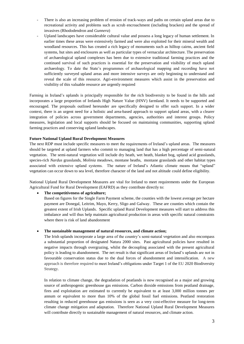- There is also an increasing problem of erosion of track-ways and paths on certain upland areas due to recreational activity and problems such as scrub encroachment (including bracken) and the spread of invasives (Rhododendron and *Gunnera*)
- Upland landscapes have considerable cultural value and possess a long legacy of human settlement. In earlier times these areas were extensively farmed and were also exploited for their mineral wealth and woodland resources. This has created a rich legacy of monuments such as hilltop cairns, ancient field systems, hut sites and enclosures as well as particular types of vernacular architecture. The preservation of archaeological upland complexes has been due to extensive traditional farming practices and the continued survival of such practices is essential for the preservation and visibility of much upland archaeology. To date the State's programmes of archaeological mapping and recording have not sufficiently surveyed upland areas and more intensive surveys are only beginning to understand and reveal the scale of this resource. Agri-environment measures which assist in the preservation and visibility of this valuable resource are urgently required

Farming in Ireland's uplands is principally responsible for the rich biodiversity to be found in the hills and incorporates a large proportion of Irelands High Nature Value (HNV) farmland. It needs to be supported and encouraged. The proposals outlined hereunder are specifically designed to offer such support. In a wider context, there is an urgent need for a holistic and area-based approach to support upland areas, with a clearer integration of policies across government departments, agencies, authorities and interest groups. Policy measures, legislation and local supports should be focused on maintaining communities, supporting upland farming practices and conserving upland landscapes.

# **Future National Upland Rural Development Measures**

The next RDP must include specific measures to meet the requirements of Ireland's upland areas. The measures should be targeted at upland farmers who commit to managing land that has a high percentage of semi-natural vegetation. The semi-natural vegetation will include dry heath, wet heath, blanket bog, upland acid grasslands, species-rich *Nardus* grasslands, *Molinia* meadows, montane heaths, montane grasslands and other habitat types associated with extensive upland systems. The nature of Ireland's Atlantic climate means that "upland" vegetation can occur down to sea level, therefore character of the land and not altitude could define eligibility.

National Upland Rural Development Measures are vital for Ireland to meet requirements under the European Agricultural Fund for Rural Development (EAFRD) as they contribute directly to:

#### **The competitiveness of agriculture;**

Based on figures for the Single Farm Payment scheme, the counties with the lowest average per hectare payment are Donegal, Leitrim, Mayo, Kerry, Sligo and Galway. These are counties which contain the greatest extent of Irish Uplands. Specific upland Rural Development measures will start to address this imbalance and will thus help maintain agricultural production in areas with specific natural constraints where there is risk of land abandonment

#### **The sustainable management of natural resources, and climate action;**

The Irish uplands incorporate a large area of the country's semi-natural vegetation and also encompass a substantial proportion of designated Natura 2000 sites. Past agricultural policies have resulted in negative impacts through overgrazing, whilst the decoupling associated with the present agricultural policy is leading to abandonment. The net result is that significant areas of Ireland's uplands are not in favourable conservation status due to the dual forces of abandonment and intensification. A new approach is therefore required to meet Ireland's obligations under Target 1 of the EU 2020 Biodiversity Strategy.

In relation to climate change, the degradation of peatlands is now recognised as a major and growing source of anthropogenic greenhouse gas emissions. Carbon dioxide emissions from peatland drainage, fires and exploitation are estimated to currently be equivalent to at least 3,000 million tonnes per annum or equivalent to more than 10% of the global fossil fuel emissions. Peatland restoration resulting in reduced greenhouse gas emissions is seen as a very cost-effective measure for long-term climate change mitigation and adaptation. Therefore National Upland Rural Development Measures will contribute directly to sustainable management of natural resources, and climate action.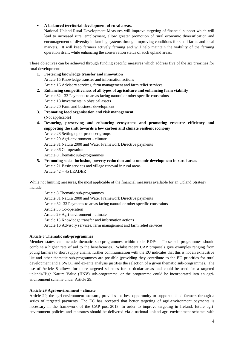# **A balanced territorial development of rural areas.**

National Upland Rural Development Measures will improve targeting of financial support which will lead to increased rural employment, allow greater promotion of rural economic diversification and encouragement of diversity in farming systems through improving conditions for small farms and local markets. It will keep farmers actively farming and will help maintain the viability of the farming operation itself, while enhancing the conservation status of such upland areas.

These objectives can be achieved through funding specific measures which address five of the six priorities for rural development:

- **1. Fostering knowledge transfer and innovation** Article 15 Knowledge transfer and information actions Article 16 Advisory services, farm management and farm relief services **2. Enhancing competitiveness of all types of agriculture and enhancing farm viability** Article 32 - 33 Payments to areas facing natural or other specific constraints Article 18 Investments in physical assets Article 20 Farm and business development
- **3. Promoting food organisation and risk management** (Not applicable)
- **4. Restoring, preserving and enhancing ecosystems and promoting resource efficiency and supporting the shift towards a low carbon and climate resilient economy**
	- Article 28 Setting up of producer groups
	- Article 29 Agri-environment climate
	- Article 31 Natura 2000 and Water Framework Directive payments
	- Article 36 Co-operation Article 8 Thematic sub-programmes
- **5. Promoting social inclusion, poverty reduction and economic development in rural areas** Article 21 Basic services and village renewal in rural areas Article 42 – 45 LEADER

While not limiting measures, the most applicable of the financial measures available for an Upland Strategy include:

Article 8 Thematic sub-programmes Article 31 Natura 2000 and Water Framework Directive payments Article 32 -33 Payments to areas facing natural or other specific constraints Article 36 Co-operation Article 29 Agri-environment - climate Article 15 Knowledge transfer and information actions Article 16 Advisory services, farm management and farm relief services

# **Article 8 Thematic sub-programmes**

Member states can include thematic sub-programmes within their RDPs. These sub-programmes should combine a higher rate of aid to the beneficiaries**.** Whilst recent CAP proposals give examples ranging from young farmers to short supply chains, further communication with the EU indicates that this is not an exhaustive list and other thematic sub-programmes are possible (providing they contribute to the EU priorities for rural development and a SWOT and ex-ante analysis justifies the selection of a given thematic sub-programme). The use of Article 8 allows for more targeted schemes for particular areas and could be used for a targeted uplands/High Nature Value (HNV) sub-programme, or the programme could be incorporated into an agrienvironment scheme under Article 29.

# **Article 29 Agri-environment - climate**

Article 29, the agri-environment measure, provides the best opportunity to support upland farmers through a series of targeted payments. The EC has accepted that better targeting of agri-environment payments is necessary in the framework of the CAP post-2013. In order to improve targeting in Ireland, future agrienvironment policies and measures should be delivered via a national upland agri-environment scheme, with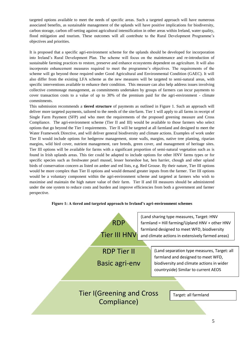targeted options available to meet the needs of specific areas. Such a targeted approach will have numerous associated benefits, as sustainable management of the uplands will have positive implications for biodiversity, carbon storage, carbon off-setting against agricultural intensification in other areas within Ireland, water quality, flood mitigation and tourism. These outcomes will all contribute to the Rural Development Programme's objectives and priorities.

It is proposed that a specific agri-environment scheme for the uplands should be developed for incorporation into Ireland's Rural Development Plan. The scheme will focus on the maintenance and re-introduction of sustainable farming practices to restore, preserve and enhance ecosystems dependent on agriculture. It will also incorporate enhancement measures required to meet the programme's objectives. The requirements of the scheme will go beyond those required under Good Agricultural and Environmental Condition (GAEC). It will also differ from the existing LFA scheme as the new measures will be targeted to semi-natural areas, with specific interventions available to enhance their condition. This measure can also help address issues involving collective commonage management, as commitments undertaken by groups of farmers can incur payments to cover transaction costs to a value of up to 30% of the premium paid for the agri-environment - climate commitments.

This submission recommends a **tiered structure** of payments as outlined in Figure 1. Such an approach will deliver more targeted payments, tailored to the needs of the site/farm. Tier 1 will apply to all farms in receipt of Single Farm Payment (SFP) and who meet the requirements of the proposed greening measure and Cross Compliance. The agri-environment scheme (Tier II and III) would be available to those farmers who select options that go beyond the Tier I requirements. Tier II will be targeted at all farmland and designed to meet the Water Framework Directive, and will deliver general biodiversity and climate actions. Examples of work under Tier II would include options for hedgerow management, stone walls, margins, native tree planting, riparian margins, wild bird cover, nutrient management, rare breeds, green cover, and management of heritage sites. Tier III options will be available for farms with a significant proportion of semi-natural vegetation such as is found in Irish uplands areas. This tier could be adapted to include options for other HNV farms types or for specific species such as freshwater pearl mussel, lesser horseshoe bat, hen harrier, chough and other upland birds of conservation concern as listed on amber and red lists, e.g. Red Grouse. By their nature, Tier III options would be more complex than Tier II options and would demand greater inputs from the farmer. Tier III options would be a voluntary component within the agri-environment scheme and targeted at farmers who wish to maximise and maintain the high nature value of their farm. Tier II and III measures should be administered under the one system to reduce costs and burden and improve efficiencies from both a government and farmer perspective.

# **Figure 1: A tiered and targeted approach to Ireland's agri-environment schemes**

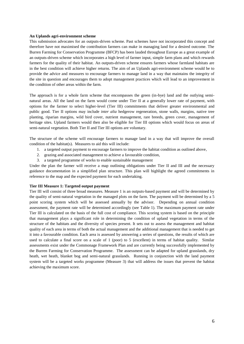#### **An Uplands agri-environment scheme**

This submission advocates for an outputs-driven scheme. Past schemes have not incorporated this concept and therefore have not maximised the contribution farmers can make in managing land for a desired outcome. The Burren Farming for Conservation Programme (BFCP) has been lauded throughout Europe as a great example of an outputs-driven scheme which incorporates a high level of farmer input, simple farm plans and which rewards farmers for the quality of their habitat. An outputs-driven scheme ensures farmers whose farmland habitats are in the best condition will achieve higher returns. The aim of an Uplands agri-environment scheme would be to provide the advice and measures to encourage farmers to manage land in a way that maintains the integrity of the site in question and encourages them to adopt management practices which will lead to an improvement in the condition of other areas within the farm.

The approach is for a whole farm scheme that encompasses the green (in-bye) land and the outlying seminatural areas. All the land on the farm would come under Tier II at a generally lower rate of payment, with options for the farmer to select higher-level (Tier III) commitments that deliver greater environmental and public good. Tier II options may include *inter alia* hedgerow regeneration, stone walls, margins, native tree planting, riparian margins, wild bird cover, nutrient management, rare breeds, green cover, management of heritage sites. Upland farmers would then also be eligible for Tier III options which would focus on areas of semi-natural vegetation. Both Tier II and Tier III options are voluntary.

The structure of the scheme will encourage farmers to manage land in a way that will improve the overall condition of the habitat(s). Measures to aid this will include:

- 1. a targeted output payment to encourage farmers to improve the habitat condition as outlined above,
- 2. grazing and associated management to achieve a favourable condition,
- 3. a targeted programme of works to enable sustainable management

Under the plan the farmer will receive a map outlining obligations under Tier II and III and the necessary guidance documentation in a simplified plan structure. This plan will highlight the agreed commitments in reference to the map and the expected payment for each undertaking.

# **Tier III Measure 1: Targeted output payment**

Tier III will consist of three broad measures. Measure 1 is an outputs-based payment and will be determined by the quality of semi-natural vegetation in the managed plots on the farm. The payment will be determined by a 5 point scoring system which will be assessed annually by the advisor. Depending on annual condition assessment, the payment rate will be determined accordingly (see Table 1). The maximum payment rate under Tier III is calculated on the basis of the full cost of compliance. This scoring system is based on the principle that management plays a significant role in determining the condition of upland vegetation in terms of the structure of the habitats and the diversity of species present. It sets out to assess the management and habitat quality of each area in terms of both the actual management and the additional management that is needed to get it into a favourable condition. Each area is assessed by answering a series of questions, the results of which are used to calculate a final score on a scale of 1 (poor) to 5 (excellent) in terms of habitat quality. Similar assessments exist under the Commonage Framework Plan and are currently being successfully implemented by the Burren Farming for Conservation Programme. The assessment can be adapted for upland grasslands, dry heath, wet heath, blanket bog and semi-natural grasslands. Running in conjunction with the land payment system will be a targeted works programme (Measure 3) that will address the issues that prevent the habitat achieving the maximum score.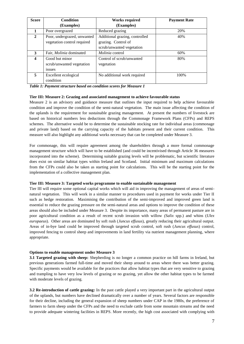| <b>Score</b> | <b>Condition</b>               | <b>Works required</b>          | <b>Payment Rate</b> |
|--------------|--------------------------------|--------------------------------|---------------------|
|              | (Examples)                     | (Examples)                     |                     |
|              | Poor overgrazed                | Reduced grazing                | 20%                 |
| 2            | Poor, undergrazed, unwanted    | Additional grazing, controlled | 40%                 |
|              | vegetation control required    | grazing. Control of            |                     |
|              |                                | scrub/unwanted vegetation      |                     |
| 3            | Fair, <i>Molinia</i> dominated | <i>Molinia</i> control         | 60%                 |
| 4            | Good but minor                 | Control of scrub/unwanted      | 80%                 |
|              | scrub/unwanted vegetation      | vegetation                     |                     |
|              | issues                         |                                |                     |
| 5            | Excellent ecological           | No additional work required    | 100\%               |
|              | condition                      |                                |                     |

|  | Table 1: Payment structure based on condition scores for Measure 1 |  |
|--|--------------------------------------------------------------------|--|
|  |                                                                    |  |

# **Tier III: Measure 2: Grazing and associated management to achieve favourable status**

Measure 2 is an advisory and guidance measure that outlines the input required to help achieve favourable condition and improve the condition of the semi-natural vegetation. The main issue affecting the condition of the uplands is the requirement for sustainable grazing management. At present the numbers of livestock are based on historical numbers less deductions through the Commonage Framework Plans (CFPs) and REPS schemes. The alternative would be to determine the sustainable stocking rate for individual areas (commonage and private land) based on the carrying capacity of the habitats present and their current condition.This measure will also highlight any additional works necessary that can be completed under Measure 3.

For commonage, this will require agreement among the shareholders through a more formal commonage management structure which will have to be established (and could be incentivised through Article 36 measures incorporated into the scheme). Determining suitable grazing levels will be problematic, but scientific literature does exist on similar habitat types within Ireland and Scotland. Initial minimum and maximum calculations from the CFPs could also be taken as starting point for calculations. This will be the starting point for the implementation of a collective management plan.

#### **Tier III: Measure 3: Targeted works programme to enable sustainable management**

Tier III will require some optional capital works which will aid in improving the management of areas of seminatural vegetation. This will work in a similar manner to procedures used in payment for works under Tier II such as hedge restoration. Maximising the contribution of the semi-improved and improved green land is essential to reduce the grazing pressure on the semi-natural areas and options to improve the condition of these areas should also be included under Measure 3. Despite its importance, many areas of permanent pasture are in poor agricultural condition as a result of recent scrub invasion with willow *(Salix* spp.) and whins (*Ulex europaeus*). Other areas are dominated by soft rush (*Juncus effusus*), greatly reducing their agricultural output. Areas of in-bye land could be improved through targeted scrub control, soft rush (*Juncus effusus*) control, improved fencing to control sheep and improvements in land fertility via nutrient management planning, where appropriate.

#### **Options to enable management under Measure 3**

**3.1 Targeted grazing with sheep:** Shepherding is no longer a common practice on hill farms in Ireland, but previous generations farmed full-time and moved their sheep around to areas where there was better grazing. Specific payments would be available for the practices that allow habitat types that are very sensitive to grazing and trampling to have very low levels of grazing or no grazing, yet allow the other habitat types to be farmed with moderate levels of grazing.

**3.2 Re-introduction of cattle grazing:** In the past cattle played a very important part in the agricultural output of the uplands, but numbers have declined dramatically over a number of years. Several factors are responsible for their decline, including the general expansion of sheep numbers under CAP in the 1980s, the preference of farmers to farm sheep under the CFPs and the need to exclude cattle from some mountain streams and the need to provide adequate wintering facilities in REPS. More recently, the high cost associated with complying with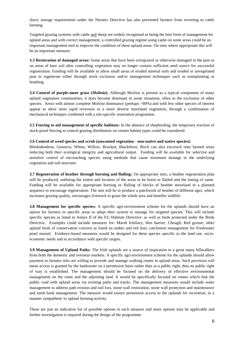slurry storage requirements under the Nitrates Directive has also prevented farmers from reverting to cattle farming.

Targeted grazing systems with cattle and sheep are widely recognised as being the best form of management for upland areas and with correct management, a controlled grazing regime using cattle on some areas could be an important management tool to improve the condition of these upland areas. On sites where appropriate this will be an important measure.

**3.3 Restoration of damaged areas:** Some areas that have been overgrazed or otherwise damaged in the past or on areas of bare soil after controlling vegetation may no longer contain sufficient seed source for successful regeneration. Funding will be available to allow small areas of eroded mineral soils and eroded or unvegetated peat to regenerate either through stock exclusion and/or management techniques such as transplanting or brashing.

**3.4 Control of purple-moor grass (***Molinia***):** Although *Molinia* is present as a typical component of many upland vegetation communities, it does become dominant in some situations, often to the exclusion of other species. Areas with almost complete *Molinia* dominance (perhaps >80%) and with few other species of interest appear to show most rapid reversion to a more diverse moorland vegetation, through a combination of mechanical techniques combined with a site-specific restoration programme.

**3.5 Fencing to aid management of specific habitats:** In the absence of shepherding, the temporary erection of stock-proof fencing to control grazing distribution on certain habitat types could be considered.

# **3.6 Control of weed species and scrub (unwanted vegetation - non-native and native species):**

Rhododendron, *Gunnera*, Whins, Willow, Bracken, Blackthorn, Birch can also encroach onto farmed areas reducing both their ecological integrity and agricultural output. Funding will be available for selective and sensitive control of encroaching species using methods that cause minimum damage to the underlying vegetation and soil structure.

**3.7 Regeneration of heather through burning and flailing:** On appropriate sites, a heather regeneration plan will be produced, outlining the extent and location of the areas to be burnt or flailed and the timing of same. Funding will be available for appropriate burning or flailing of blocks of heather moorland in a planned sequence to encourage regeneration. The aim will be to produce a patchwork of heather of different ages, which increases grazing quality, encourages livestock to graze the whole area and benefits wildlife.

**3.8 Management for specific species:** A specific agri-environment scheme for the uplands should have an option for farmers in specific areas to adapt their system to manage for targeted species. This will include specific species as listed in Annex II of the EU Habitats Directive: as well as birds protected under the Birds Directive.Examples could include measures for: Marsh fritillary; Hen harrier; Chough; Red grouse; other upland birds of conservation concern as listed on amber and red lists; catchment management for Freshwater pearl mussel. Evidence-based measures would be designed for these species specific to the land use, socioeconomic needs and in accordance with specific targets.

**3.9 Management of Upland Paths:** The Irish uplands are a source of inspiration to a great many hillwalkers from both the domestic and overseas markets. A specific agri-environment scheme for the uplands should allow payment to farmers who are willing to provide and manage walking routes in upland areas. Such provision will mean access is granted by the landowner on a permissive basis rather than as a public right, thus no public right of way is established. The management should be focused on the delivery of effective environmental management on the route and the adjoining land. It would be specifically focused on routes which link the public road with upland areas via existing paths and tracks. The management measures would include water management to address path erosion and soil loss, stone wall restoration, stone wall protection and maintenance and earth bank management. The measure would ensure permissive access to the uplands for recreation, in a manner sympathetic to upland farming activity.

These are just an indicative list of possible options in each measure and more options may be applicable and further investigation is required during the design of the programme.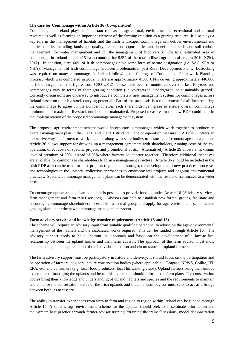## **The case for Commonage within Article 36 (Co-operation)**

Commonage in Ireland plays an important role as an agricultural, environmental, recreational and cultural resource as well as forming an important element of the farming tradition as a grazing resource. It also plays a key role in the management of habitats and the Irish landscape. Commonage can deliver environmental and public benefits including landscape quality, recreation opportunities and benefits for soils and soil carbon management, for water management and for the management of biodiversity. The total estimated area of commonage in Ireland is 422,415 ha accounting for 8.5% of the total utilised agricultural area in 2010 (CSO, 2012). In addition, circa 60% of Irish commonages have some form of nature designation (i.e. SAC, SPA or NHA). Management of Irish commonage has been problematic in past Rural Development Plans. Destocking was required on many commonages in Ireland following the findings of Commonage Framework Planning process, which was completed in 2002. There are approximately 4,500 CFPs covering approximately 440,000 ha (note: larger than the figure from CSO 2012). These have been re-monitored over the last 10 years and commonages vary in terms of their grazing condition (i.e. overgrazed, undergrazed or sustainably grazed). Currently discussions are underway to introduce a completely new management system for commonages across Ireland based on their livestock carrying potential. Part of the proposals is a requirement for all farmers using the commonage to agree on the number of ewes each shareholder can graze to ensure overall commonage minimum and maximum livestock numbers are maintained. Proposed measures in the new RDP could help in the implementation of the proposed commonage management system.

The proposed agri-environment scheme would incorporate commonages which work together to produce an overall management plan in the Tier II and Tier III structure. The co-operation measure in Article 36 offers an innovative way for farmers to work together along with state bodies to ensure good commonage management. Article 36 allows support for drawing up a management agreement with shareholders, running costs of the cooperation, direct costs of specific projects and promotional costs. Alternatively Article 29 allows a maximum level of premium of 30% instead of 20% where farmers collaborate together. Therefore additional incentives are available for commonage shareholders to form a management structure. Article 36 should be included in the Irish RDP as it can be used for pilot projects (e.g. on commonage), the development of new practices, processes and technologies in the uplands, collective approaches to environmental projects and ongoing environmental practices. Specific commonage management plans can be demonstrated with the results disseminated to a wider base.

To encourage uptake among shareholders it is possible to provide funding under Article 16 (Advisory services, farm management and farm relief services). Advisors can help to establish new formal groups, facilitate and encourage commonage shareholders to establish a formal group and apply for agri-environment schemes and grazing plans under the new commonage management system.

#### **Farm advisory service and knowledge transfer requirements (Article 15 and 16)**

The scheme will require an advisory input from suitable qualified personnel to advise on the agri-environmental management of the habitats and the associated works required. This can be funded through Article 16. The advisory support needs to be a "bottom-up" approach and based on the development of a face-to-face relationship between the upland farmer and their farm advisor. The approach of the farm advisor must show understanding and an appreciation of the individual situation and circumstance of upland farmers.

The farm advisory support must be participatory in nature and delivery. It should focus on the participation and co-operation of farmers, advisors, nature conservation bodies (where applicable – Teagasc, NPWS, Coillte, IFI, EPA, etc) and consumers (e.g. local food producers, local hillwalking clubs). Upland farmers bring their unique experience of managing the uplands and hence this experience should inform their farm plans. The conservation bodies bring their knowledge and understanding of upland habitats and species and the requirements to maintain and enhance the conservation status of the Irish uplands and thus the farm advisor must seek to act as a bridge between both, as necessary.

The ability to transfer experiences from farm to farm and region to region within Ireland can be funded through Article 15. A specific agri-environment scheme for the uplands should seek to disseminate information and mainstream best practice through farmer/advisor training, "training the trainer" sessions, model demonstration